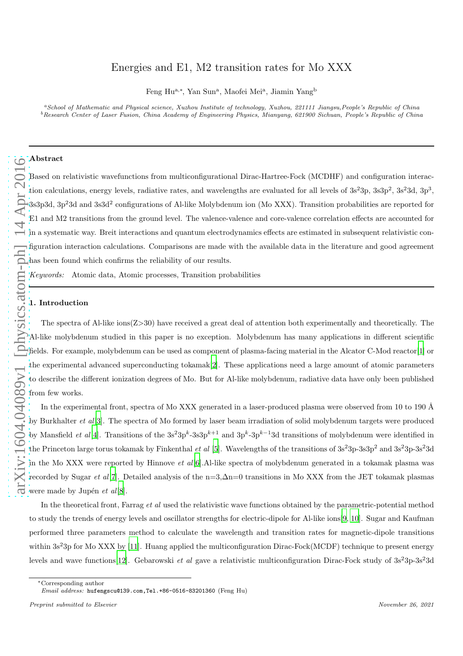# Energies and E1, M2 transition rates for Mo XXX

Feng Hu<sup>a,∗</sup>, Yan Sun<sup>a</sup>, Maofei Mei<sup>a</sup>, Jiamin Yang<sup>b</sup>

<sup>a</sup>*School of Mathematic and Physical science, Xuzhou Institute of technology, Xuzhou, 221111 Jiangsu,People's Republic of China* <sup>b</sup>*Research Center of Laser Fusion, China Academy of Engineering Physics, Mianyang, 621900 Sichuan, People's Republic of China*

## Abstract

Based on relativistic wavefunctions from multiconfigurational Dirac-Hartree-Fock (MCDHF) and configuration interaction calculations, energy levels, radiative rates, and wavelengths are evaluated for all levels of  $3s^23p$ ,  $3s3p^2$ ,  $3s^23d$ ,  $3p^3$ ,  $3s3p3d, 3p^23d$  and  $3s3d^2$  configurations of Al-like Molybdenum ion (Mo XXX). Transition probabilities are reported for E1 and M2 transitions from the ground level. The valence-valence and core-valence correlation effects are accounted for in a systematic way. Breit interactions and quantum electrodynamics effects are estimated in subsequent relativistic configuration interaction calculations. Comparisons are made with the available data in the literature and good agreement has been found which confirms the reliability of our results. Keywords: Atomic data, Atomic processes, Transition probabilities

## 1. Introduction

The spectra of Al-like ions(Z>30) have received a great deal of attention both experimentally and theoretically. The Al-like molybdenum studied in this paper is no exception. Molybdenum has many applications in different scientific fields. For example, molybdenum can be used as component of plasma-facing material in the Alcator C-Mod reactor[\[1\]](#page-5-0) or the experimental advanced superconducting tokamak[\[2\]](#page-5-1). These applications need a large amount of atomic parameters to describe the different ionization degrees of Mo. But for Al-like molybdenum, radiative data have only been published from few works.

In the experimental front, spectra of Mo XXX generated in a laser-produced plasma were observed from 10 to 190 Å by Burkhalter *et al*[\[3](#page-5-2)]. The spectra of Mo formed by laser beam irradiation of solid molybdenum targets were produced by Mansfield *et al*[\[4\]](#page-6-0). Transitions of the  $3s^23p^k-3s3p^{k+1}$  and  $3p^k-3p^{k-1}3d$  transitions of molybdenum were identified in the Princeton large torus tokamak by Finkenthal *et al* [\[5](#page-6-1)]. Wavelengths of the transitions of  $3s^23p-3s3p^2$  and  $3s^23p-3s^23d$ in the Mo XXX were reported by Hinnove *et al*[\[6](#page-6-2)]. Al-like spectra of molybdenum generated in a tokamak plasma was recorded by Sugar et al[\[7](#page-6-3)]. Detailed analysis of the n=3, $\Delta$ n=0 transitions in Mo XXX from the JET tokamak plasmas were made by Jupén  $et \text{ } al[8].$  $et \text{ } al[8].$  $et \text{ } al[8].$ 

In the theoretical front, Farrag *et al* used the relativistic wave functions obtained by the parametric-potential method to study the trends of energy levels and oscillator strengths for electric-dipole for Al-like ions[\[9](#page-6-5), [10\]](#page-6-6). Sugar and Kaufman performed three parameters method to calculate the wavelength and transition rates for magnetic-dipole transitions within  $3s<sup>2</sup>3p$  for Mo XXX by [\[11\]](#page-6-7). Huang applied the multiconfiguration Dirac-Fock(MCDF) technique to present energy levels and wave functions [\[12\]](#page-6-8). Gebarowski *et al* gave a relativistic multiconfiguration Dirac-Fock study of  $3s^23p-3s^23d$ 

<sup>∗</sup>Corresponding author

*Email address:* hufengscu@139.com,Tel.+86-0516-83201360 (Feng Hu)

*Preprint submitted to Elsevier November 26, 2021*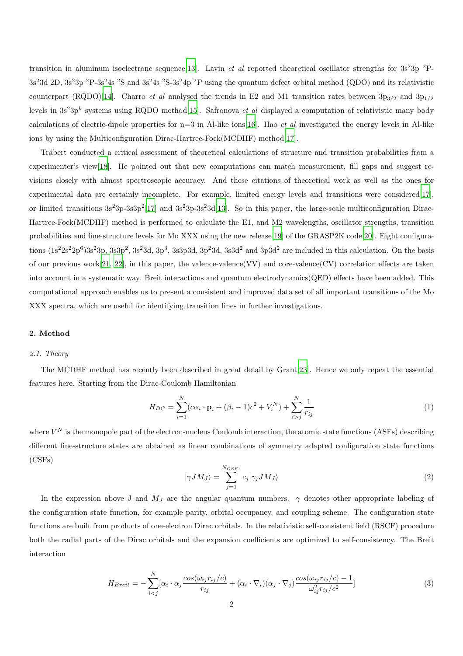transition in aluminum isoelectronc sequence [\[13\]](#page-6-9). Lavin *et al* reported theoretical oscillator strengths for  $3s^23p^2P$ - $3s^23d$  2D,  $3s^23p$  <sup>2</sup>P-3s<sup>2</sup>4s <sup>2</sup>S and  $3s^24s$  <sup>2</sup>S-3s<sup>2</sup>4p <sup>2</sup>P using the quantum defect orbital method (QDO) and its relativistic counterpart (RQDO)[\[14](#page-6-10)]. Charro et al analysed the trends in E2 and M1 transition rates between  $3p_{3/2}$  and  $3p_{1/2}$ levels in  $3s^23p^k$  systems using RQDO method<sup>[\[15](#page-6-11)]</sup>. Safronova *et al* displayed a computation of relativistic many body calculations of electric-dipole properties for  $n=3$  in Al-like ions[\[16\]](#page-6-12). Hao *et al* investigated the energy levels in Al-like ions by using the Multiconfiguration Dirac-Hartree-Fock(MCDHF) method[\[17](#page-6-13)].

Träbert conducted a critical assessment of theoretical calculations of structure and transition probabilities from a experimenter's view[\[18](#page-6-14)]. He pointed out that new computations can match measurement, fill gaps and suggest revisions closely with almost spectroscopic accuracy. And these citations of theoretical work as well as the ones for experimental data are certainly incomplete. For example, limited energy levels and transitions were considered[\[17](#page-6-13)], or limited transitions  $3s^23p-3s^2p^2[17]$  $3s^23p-3s^2p^2[17]$  and  $3s^23p-3s^23d[13]$  $3s^23p-3s^23d[13]$ . So in this paper, the large-scale multiconfiguration Dirac-Hartree-Fock(MCDHF) method is performed to calculate the E1, and M2 wavelengths, oscillator strengths, transition probabilities and fine-structure levels for Mo XXX using the new release[\[19\]](#page-6-15) of the GRASP2K code[\[20](#page-7-0)]. Eight configurations  $(1s^22s^22p^6)3s^23p$ ,  $3s3p^2$ ,  $3s^23d$ ,  $3p^3$ ,  $3s3p3d$ ,  $3p^23d$ ,  $3s3d^2$  and  $3p3d^2$  are included in this calculation. On the basis of our previous work $[21, 22]$  $[21, 22]$  $[21, 22]$ , in this paper, the valence-valence(VV) and core-valence(CV) correlation effects are taken into account in a systematic way. Breit interactions and quantum electrodynamics(QED) effects have been added. This computational approach enables us to present a consistent and improved data set of all important transitions of the Mo XXX spectra, which are useful for identifying transition lines in further investigations.

## 2. Method

## 2.1. Theory

The MCDHF method has recently been described in great detail by Grant[\[23\]](#page-7-3). Hence we only repeat the essential features here. Starting from the Dirac-Coulomb Hamiltonian

$$
H_{DC} = \sum_{i=1}^{N} (c\alpha_i \cdot \mathbf{p}_i + (\beta_i - 1)c^2 + V_i^N) + \sum_{i>j}^{N} \frac{1}{r_{ij}}
$$
(1)

where  $V^N$  is the monopole part of the electron-nucleus Coulomb interaction, the atomic state functions (ASFs) describing different fine-structure states are obtained as linear combinations of symmetry adapted configuration state functions (CSFs)

<span id="page-1-0"></span>
$$
|\gamma JM_J\rangle = \sum_{j=1}^{N_{CSFs}} c_j |\gamma_j JM_J\rangle \tag{2}
$$

In the expression above J and  $M_J$  are the angular quantum numbers.  $\gamma$  denotes other appropriate labeling of the configuration state function, for example parity, orbital occupancy, and coupling scheme. The configuration state functions are built from products of one-electron Dirac orbitals. In the relativistic self-consistent field (RSCF) procedure both the radial parts of the Dirac orbitals and the expansion coefficients are optimized to self-consistency. The Breit interaction

$$
H_{Breit} = -\sum_{i < j}^{N} [\alpha_i \cdot \alpha_j \frac{\cos(\omega_{ij} r_{ij}/c)}{r_{ij}} + (\alpha_i \cdot \nabla_i)(\alpha_j \cdot \nabla_j) \frac{\cos(\omega_{ij} r_{ij}/c) - 1}{\omega_{ij}^2 r_{ij}/c^2}] \tag{3}
$$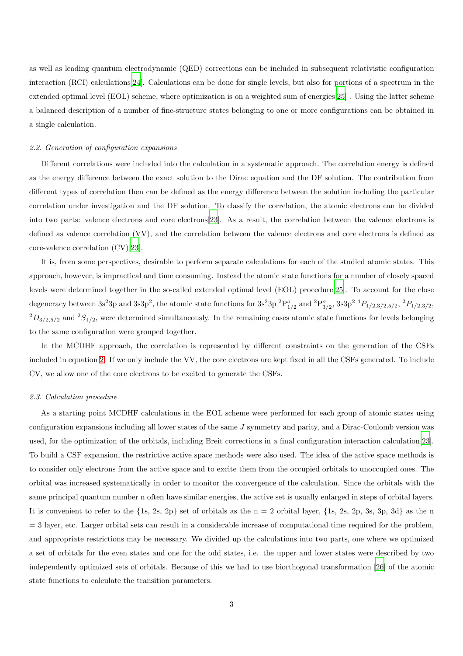as well as leading quantum electrodynamic (QED) corrections can be included in subsequent relativistic configuration interaction (RCI) calculations[\[24\]](#page-7-4). Calculations can be done for single levels, but also for portions of a spectrum in the extended optimal level (EOL) scheme, where optimization is on a weighted sum of energies[\[25](#page-7-5)] . Using the latter scheme a balanced description of a number of fine-structure states belonging to one or more configurations can be obtained in a single calculation.

## 2.2. Generation of configuration expansions

Different correlations were included into the calculation in a systematic approach. The correlation energy is defined as the energy difference between the exact solution to the Dirac equation and the DF solution. The contribution from different types of correlation then can be defined as the energy difference between the solution including the particular correlation under investigation and the DF solution. To classify the correlation, the atomic electrons can be divided into two parts: valence electrons and core electrons[\[23\]](#page-7-3). As a result, the correlation between the valence electrons is defined as valence correlation (VV), and the correlation between the valence electrons and core electrons is defined as core-valence correlation (CV)[\[23](#page-7-3)].

It is, from some perspectives, desirable to perform separate calculations for each of the studied atomic states. This approach, however, is impractical and time consuming. Instead the atomic state functions for a number of closely spaced levels were determined together in the so-called extended optimal level (EOL) procedure[\[25\]](#page-7-5). To account for the close degeneracy between  $3s^23p$  and  $3s3p^2$ , the atomic state functions for  $3s^23p~^2P_{1/2}^o$  and  ${}^2P_{3/2}^o$ ,  $3s3p^2~^4P_{1/2,3/2,5/2}$ ,  ${}^2P_{1/2,3/2,5/2}$ ,  ${}^{2}D_{3/2,5/2}$  and  ${}^{2}S_{1/2}$ , were determined simultaneously. In the remaining cases atomic state functions for levels belonging to the same configuration were grouped together.

In the MCDHF approach, the correlation is represented by different constraints on the generation of the CSFs included in equation [2.](#page-1-0) If we only include the VV, the core electrons are kept fixed in all the CSFs generated. To include CV, we allow one of the core electrons to be excited to generate the CSFs.

#### 2.3. Calculation procedure

As a starting point MCDHF calculations in the EOL scheme were performed for each group of atomic states using configuration expansions including all lower states of the same J symmetry and parity, and a Dirac-Coulomb version was used, for the optimization of the orbitals, including Breit corrections in a final configuration interaction calculation[\[23](#page-7-3)]. To build a CSF expansion, the restrictive active space methods were also used. The idea of the active space methods is to consider only electrons from the active space and to excite them from the occupied orbitals to unoccupied ones. The orbital was increased systematically in order to monitor the convergence of the calculation. Since the orbitals with the same principal quantum number n often have similar energies, the active set is usually enlarged in steps of orbital layers. It is convenient to refer to the  $\{1s, 2s, 2p\}$  set of orbitals as the n = 2 orbital layer,  $\{1s, 2s, 2p, 3s, 3p, 3d\}$  as the n  $=$  3 layer, etc. Larger orbital sets can result in a considerable increase of computational time required for the problem, and appropriate restrictions may be necessary. We divided up the calculations into two parts, one where we optimized a set of orbitals for the even states and one for the odd states, i.e. the upper and lower states were described by two independently optimized sets of orbitals. Because of this we had to use biorthogonal transformation [\[26](#page-7-6)] of the atomic state functions to calculate the transition parameters.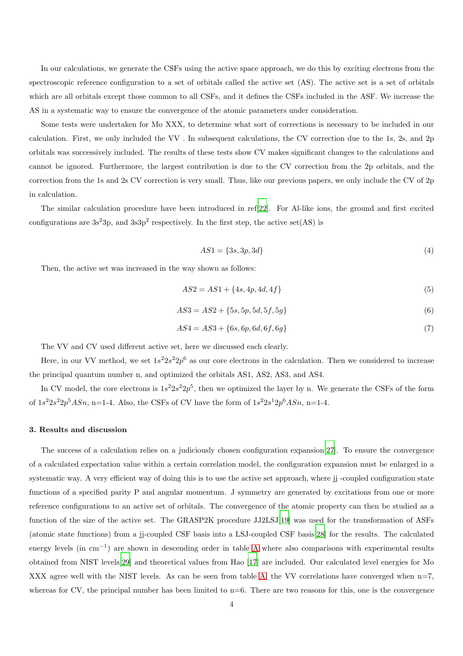In our calculations, we generate the CSFs using the active space approach, we do this by exciting electrons from the spectroscopic reference configuration to a set of orbitals called the active set (AS). The active set is a set of orbitals which are all orbitals except those common to all CSFs, and it defines the CSFs included in the ASF. We increase the AS in a systematic way to ensure the convergence of the atomic parameters under consideration.

Some tests were undertaken for Mo XXX, to determine what sort of corrections is necessary to be included in our calculation. First, we only included the VV . In subsequent calculations, the CV correction due to the 1s, 2s, and 2p orbitals was successively included. The results of these tests show CV makes significant changes to the calculations and cannot be ignored. Furthermore, the largest contribution is due to the CV correction from the 2p orbitals, and the correction from the 1s and 2s CV correction is very small. Thus, like our previous papers, we only include the CV of 2p in calculation.

The similar calculation procedure have been introduced in ref[\[22\]](#page-7-2). For Al-like ions, the ground and first excited configurations are  $3s^23p$ , and  $3s^2p^2$  respectively. In the first step, the active set(AS) is

$$
AS1 = \{3s, 3p, 3d\} \tag{4}
$$

Then, the active set was increased in the way shown as follows:

$$
AS2 = AS1 + \{4s, 4p, 4d, 4f\}
$$
\n<sup>(5)</sup>

$$
AS3 = AS2 + \{5s, 5p, 5d, 5f, 5g\} \tag{6}
$$

$$
AS4 = AS3 + \{6s, 6p, 6d, 6f, 6g\} \tag{7}
$$

The VV and CV used different active set, here we discussed each clearly.

Here, in our VV method, we set  $1s^2 2s^2 2p^6$  as our core electrons in the calculation. Then we considered to increase the principal quantum number n, and optimized the orbitals AS1, AS2, AS3, and AS4.

In CV model, the core electrons is  $1s^22s^22p^5$ , then we optimized the layer by n. We generate the CSFs of the form of  $1s^22s^22p^5ASn$ , n=1-4. Also, the CSFs of CV have the form of  $1s^22s^12p^6ASn$ , n=1-4.

#### 3. Results and discussion

The success of a calculation relies on a judiciously chosen configuration expansion[\[27](#page-7-7)]. To ensure the convergence of a calculated expectation value within a certain correlation model, the configuration expansion must be enlarged in a systematic way. A very efficient way of doing this is to use the active set approach, where jj -coupled configuration state functions of a specified parity P and angular momentum. J symmetry are generated by excitations from one or more reference configurations to an active set of orbitals. The convergence of the atomic property can then be studied as a function of the size of the active set. The GRASP2K procedure JJ2LSJ[\[19\]](#page-6-15) was used for the transformation of ASFs (atomic state functions) from a jj-coupled CSF basis into a LSJ-coupled CSF basis[\[28\]](#page-7-8) for the results. The calculated energy levels (in cm<sup>-1</sup>) are shown in descending order in table [A](#page-10-0) where also comparisons with experimental results obtained from NIST levels[\[29\]](#page-7-9) and theoretical values from Hao [\[17](#page-6-13)] are included. Our calculated level energies for Mo XXX agree well with the NIST levels. As can be seen from table [A,](#page-10-0) the VV correlations have converged when  $n=7$ , whereas for CV, the principal number has been limited to  $n=6$ . There are two reasons for this, one is the convergence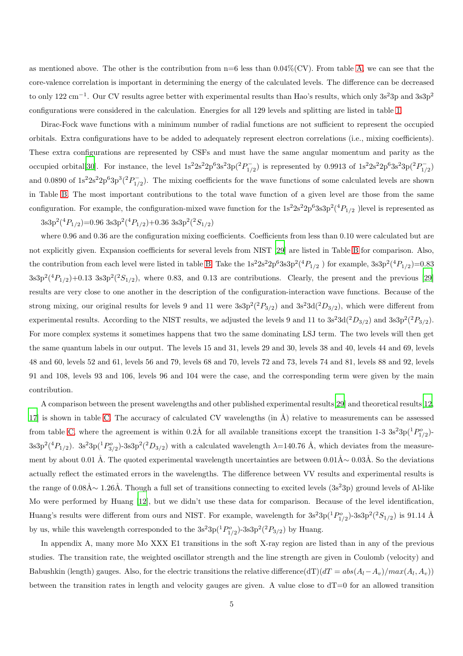as mentioned above. The other is the contribution from  $n=6$  less than  $0.04\%$  (CV). From table [A,](#page-10-0) we can see that the core-valence correlation is important in determining the energy of the calculated levels. The difference can be decreased to only 122 cm<sup>-1</sup>. Our CV results agree better with experimental results than Hao's results, which only 3s<sup>2</sup>3p and 3s3p<sup>2</sup> configurations were considered in the calculation. Energies for all 129 levels and splitting are listed in table [1.](#page-10-0)

Dirac-Fock wave functions with a minimum number of radial functions are not sufficient to represent the occupied orbitals. Extra configurations have to be added to adequately represent electron correlations (i.e., mixing coefficients). These extra configurations are represented by CSFs and must have the same angular momentum and parity as the occupied orbital[\[30](#page-7-10)]. For instance, the level  $1s^2 2s^2 2p^6 3s^2 3p(^2P_1^ 1/2$ ) is represented by 0.9913 of  $1s^22s^22p^63s^23p(^2P^{-1}_{1/2})$  $t_{1/2}^{-}$ and 0.0890 of  $1s^22s^22p^63p^3(^2P_{1/2}^ \sum_{1/2}^{1}$ . The mixing coefficients for the wave functions of some calculated levels are shown in Table [B.](#page-8-0) The most important contributions to the total wave function of a given level are those from the same configuration. For example, the configuration-mixed wave function for the  $1s^22s^22p^63s3p^2(^4P_{1/2}$  )level is represented as  $3s3p^2(^4P_{1/2})=0.96$   $3s3p^2(^4P_{1/2})+0.36$   $3s3p^2(^2S_{1/2})$ 

where 0.96 and 0.36 are the configuration mixing coefficients. Coefficients from less than 0.10 were calculated but are not explicitly given. Expansion coefficients for several levels from NIST [\[29](#page-7-9)] are listed in Table [B](#page-8-0) for comparison. Also, the contribution from each level were listed in table [B.](#page-8-0) Take the  $1s^2 2s^2 2p^6 3s^3 p^2(^4P_{1/2})$  for example,  $3s^3 p^2(^4P_{1/2})=0.83$  $3s3p^2(^4P_{1/2})+0.13$   $3s3p^2(^2S_{1/2})$ , where 0.83, and 0.13 are contributions. Clearly, the present and the previous [\[29\]](#page-7-9) results are very close to one another in the description of the configuration-interaction wave functions. Because of the strong mixing, our original results for levels 9 and 11 were  $3s3p^2(^2P_{3/2})$  and  $3s^23d(^2D_{3/2})$ , which were different from experimental results. According to the NIST results, we adjusted the levels 9 and 11 to  $3s^23d(^2D_{3/2})$  and  $3s3p^2(^2P_{3/2})$ . For more complex systems it sometimes happens that two the same dominating LSJ term. The two levels will then get the same quantum labels in our output. The levels 15 and 31, levels 29 and 30, levels 38 and 40, levels 44 and 69, levels 48 and 60, levels 52 and 61, levels 56 and 79, levels 68 and 70, levels 72 and 73, levels 74 and 81, levels 88 and 92, levels 91 and 108, levels 93 and 106, levels 96 and 104 were the case, and the corresponding term were given by the main contribution.

A comparison between the present wavelengths and other published experimental results[\[29](#page-7-9)] and theoretical results[\[12,](#page-6-8)  $17$  is shown in table [C.](#page-9-0) The accuracy of calculated CV wavelengths (in  $\AA$ ) relative to measurements can be assessed from table [C,](#page-9-0) where the agreement is within 0.2Å for all available transitions except the transition 1-3  $3s^23p(^1P^o_{1/2})$  $3s3p^2(^4P_{1/2})$ .  $3s^23p(^1P_{3/2}^o)$ -3s3p<sup>2</sup> $(^2D_{3/2})$  with a calculated wavelength  $\lambda$ =140.76 Å, which deviates from the measurement by about 0.01 Å. The quoted experimental wavelength uncertainties are between 0.01Å∼ 0.03Å. So the deviations actually reflect the estimated errors in the wavelengths. The difference between VV results and experimental results is the range of  $0.08\AA\sim 1.26\AA$ . Though a full set of transitions connecting to excited levels  $(3s^23p)$  ground levels of Al-like Mo were performed by Huang [\[12](#page-6-8)], but we didn't use these data for comparison. Because of the level identification, Huang's results were different from ours and NIST. For example, wavelength for  $3s^23p(^1P^o_{1/2})$ -3s3p<sup>2</sup> $(^2S_{1/2})$  is 91.14 Å by us, while this wavelength corresponded to the  $3s^23p(^1P^o_{1/2})-3s3p^2(^2P_{3/2})$  by Huang.

In appendix A, many more Mo XXX E1 transitions in the soft X-ray region are listed than in any of the previous studies. The transition rate, the weighted oscillator strength and the line strength are given in Coulomb (velocity) and Babushkin (length) gauges. Also, for the electric transitions the relative difference(dT)( $dT = abs(A_l - A_v)/max(A_l, A_v)$ ) between the transition rates in length and velocity gauges are given. A value close to  $dT=0$  for an allowed transition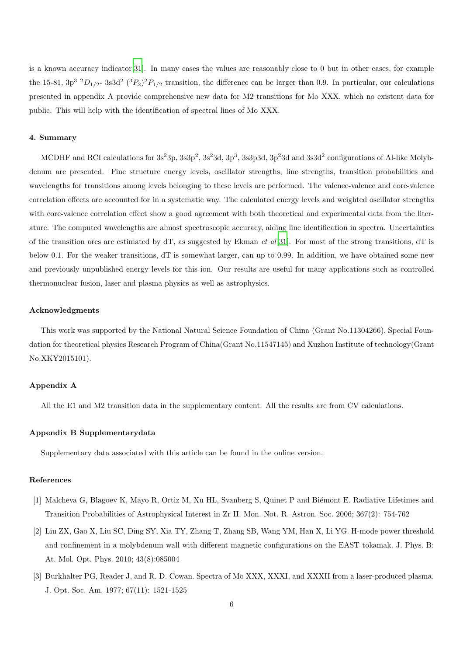is a known accuracy indicator[\[31](#page-7-11)]. In many cases the values are reasonably close to 0 but in other cases, for example the 15-81,  $3p^3$   $^2D_{1/2}$ -  $3s3d^2$   $(^3P_2)^2P_{1/2}$  transition, the difference can be larger than 0.9. In particular, our calculations presented in appendix A provide comprehensive new data for M2 transitions for Mo XXX, which no existent data for public. This will help with the identification of spectral lines of Mo XXX.

## 4. Summary

MCDHF and RCI calculations for  $3s^23p$ ,  $3s3p^2$ ,  $3s^23d$ ,  $3p^3$ ,  $3s3p3d$ ,  $3p^23d$  and  $3s3d^2$  configurations of Al-like Molybdenum are presented. Fine structure energy levels, oscillator strengths, line strengths, transition probabilities and wavelengths for transitions among levels belonging to these levels are performed. The valence-valence and core-valence correlation effects are accounted for in a systematic way. The calculated energy levels and weighted oscillator strengths with core-valence correlation effect show a good agreement with both theoretical and experimental data from the literature. The computed wavelengths are almost spectroscopic accuracy, aiding line identification in spectra. Uncertainties of the transition ares are estimated by  $dT$ , as suggested by Ekman *et al*[\[31\]](#page-7-11). For most of the strong transitions,  $dT$  is below 0.1. For the weaker transitions, dT is somewhat larger, can up to 0.99. In addition, we have obtained some new and previously unpublished energy levels for this ion. Our results are useful for many applications such as controlled thermonuclear fusion, laser and plasma physics as well as astrophysics.

#### Acknowledgments

This work was supported by the National Natural Science Foundation of China (Grant No.11304266), Special Foundation for theoretical physics Research Program of China(Grant No.11547145) and Xuzhou Institute of technology(Grant No.XKY2015101).

## Appendix A

All the E1 and M2 transition data in the supplementary content. All the results are from CV calculations.

## Appendix B Supplementarydata

Supplementary data associated with this article can be found in the online version.

## References

- <span id="page-5-0"></span>[1] Malcheva G, Blagoev K, Mayo R, Ortiz M, Xu HL, Svanberg S, Quinet P and Biémont E. Radiative Lifetimes and Transition Probabilities of Astrophysical Interest in Zr II. Mon. Not. R. Astron. Soc. 2006; 367(2): 754-762
- <span id="page-5-1"></span>[2] Liu ZX, Gao X, Liu SC, Ding SY, Xia TY, Zhang T, Zhang SB, Wang YM, Han X, Li YG. H-mode power threshold and confinement in a molybdenum wall with different magnetic configurations on the EAST tokamak. J. Phys. B: At. Mol. Opt. Phys. 2010; 43(8):085004
- <span id="page-5-2"></span>[3] Burkhalter PG, Reader J, and R. D. Cowan. Spectra of Mo XXX, XXXI, and XXXII from a laser-produced plasma. J. Opt. Soc. Am. 1977; 67(11): 1521-1525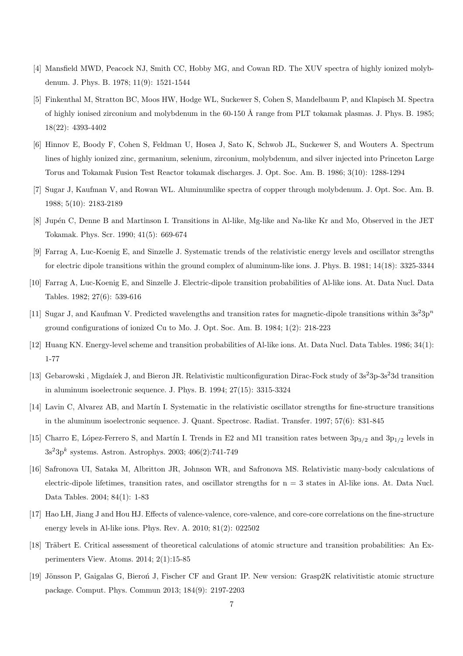- <span id="page-6-0"></span>[4] Mansfield MWD, Peacock NJ, Smith CC, Hobby MG, and Cowan RD. The XUV spectra of highly ionized molybdenum. J. Phys. B. 1978; 11(9): 1521-1544
- <span id="page-6-1"></span>[5] Finkenthal M, Stratton BC, Moos HW, Hodge WL, Suckewer S, Cohen S, Mandelbaum P, and Klapisch M. Spectra of highly ionised zirconium and molybdenum in the  $60-150$  Å range from PLT tokamak plasmas. J. Phys. B. 1985; 18(22): 4393-4402
- <span id="page-6-2"></span>[6] Hinnov E, Boody F, Cohen S, Feldman U, Hosea J, Sato K, Schwob JL, Suckewer S, and Wouters A. Spectrum lines of highly ionized zinc, germanium, selenium, zirconium, molybdenum, and silver injected into Princeton Large Torus and Tokamak Fusion Test Reactor tokamak discharges. J. Opt. Soc. Am. B. 1986; 3(10): 1288-1294
- <span id="page-6-3"></span>[7] Sugar J, Kaufman V, and Rowan WL. Aluminumlike spectra of copper through molybdenum. J. Opt. Soc. Am. B. 1988; 5(10): 2183-2189
- <span id="page-6-4"></span>[8] Jup´en C, Denne B and Martinson I. Transitions in Al-like, Mg-like and Na-like Kr and Mo, Observed in the JET Tokamak. Phys. Scr. 1990; 41(5): 669-674
- <span id="page-6-5"></span>[9] Farrag A, Luc-Koenig E, and Sinzelle J. Systematic trends of the relativistic energy levels and oscillator strengths for electric dipole transitions within the ground complex of aluminum-like ions. J. Phys. B. 1981; 14(18): 3325-3344
- <span id="page-6-6"></span>[10] Farrag A, Luc-Koenig E, and Sinzelle J. Electric-dipole transition probabilities of Al-like ions. At. Data Nucl. Data Tables. 1982; 27(6): 539-616
- <span id="page-6-7"></span>[11] Sugar J, and Kaufman V. Predicted wavelengths and transition rates for magnetic-dipole transitions within  $3s^23p^n$ ground configurations of ionized Cu to Mo. J. Opt. Soc. Am. B. 1984; 1(2): 218-223
- <span id="page-6-8"></span>[12] Huang KN. Energy-level scheme and transition probabilities of Al-like ions. At. Data Nucl. Data Tables. 1986; 34(1): 1-77
- <span id="page-6-9"></span>[13] Gebarowski, Migdaíek J, and Bieron JR. Relativistic multiconfiguration Dirac-Fock study of  $3s^23p-3s^23d$  transition in aluminum isoelectronic sequence. J. Phys. B. 1994; 27(15): 3315-3324
- <span id="page-6-10"></span>[14] Lavin C, Alvarez AB, and Martín I. Systematic in the relativistic oscillator strengths for fine-structure transitions in the aluminum isoelectronic sequence. J. Quant. Spectrosc. Radiat. Transfer. 1997; 57(6): 831-845
- <span id="page-6-11"></span>[15] Charro E, López-Ferrero S, and Martín I. Trends in E2 and M1 transition rates between  $3p_{3/2}$  and  $3p_{1/2}$  levels in  $3s<sup>2</sup>3p<sup>k</sup>$  systems. Astron. Astrophys. 2003; 406(2):741-749
- <span id="page-6-12"></span>[16] Safronova UI, Sataka M, Albritton JR, Johnson WR, and Safronova MS. Relativistic many-body calculations of electric-dipole lifetimes, transition rates, and oscillator strengths for  $n = 3$  states in Al-like ions. At. Data Nucl. Data Tables. 2004; 84(1): 1-83
- <span id="page-6-13"></span>[17] Hao LH, Jiang J and Hou HJ. Effects of valence-valence, core-valence, and core-core correlations on the fine-structure energy levels in Al-like ions. Phys. Rev. A. 2010; 81(2): 022502
- <span id="page-6-14"></span>[18] Träbert E. Critical assessment of theoretical calculations of atomic structure and transition probabilities: An Experimenters View. Atoms. 2014; 2(1):15-85
- <span id="page-6-15"></span>[19] Jönsson P, Gaigalas G, Bieron J, Fischer CF and Grant IP. New version: Grasp2K relativitistic atomic structure package. Comput. Phys. Commun 2013; 184(9): 2197-2203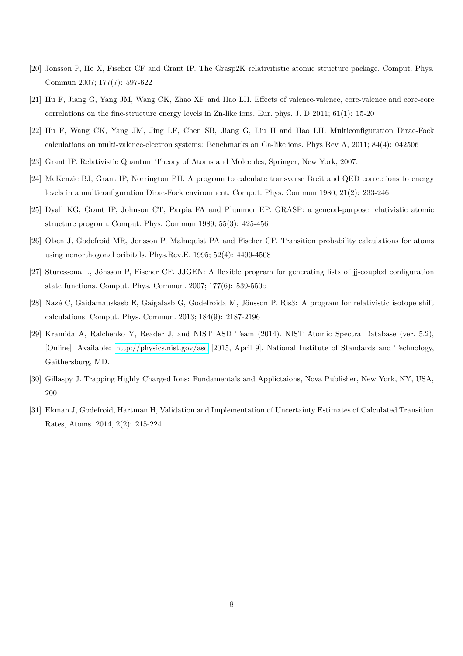- <span id="page-7-0"></span>[20] Jönsson P, He X, Fischer CF and Grant IP. The Grasp2K relativitistic atomic structure package. Comput. Phys. Commun 2007; 177(7): 597-622
- <span id="page-7-1"></span>[21] Hu F, Jiang G, Yang JM, Wang CK, Zhao XF and Hao LH. Effects of valence-valence, core-valence and core-core correlations on the fine-structure energy levels in Zn-like ions. Eur. phys. J. D 2011; 61(1): 15-20
- <span id="page-7-2"></span>[22] Hu F, Wang CK, Yang JM, Jing LF, Chen SB, Jiang G, Liu H and Hao LH. Multiconfiguration Dirac-Fock calculations on multi-valence-electron systems: Benchmarks on Ga-like ions. Phys Rev A, 2011; 84(4): 042506
- <span id="page-7-3"></span>[23] Grant IP. Relativistic Quantum Theory of Atoms and Molecules, Springer, New York, 2007.
- <span id="page-7-4"></span>[24] McKenzie BJ, Grant IP, Norrington PH. A program to calculate transverse Breit and QED corrections to energy levels in a multiconfiguration Dirac-Fock environment. Comput. Phys. Commun 1980; 21(2): 233-246
- <span id="page-7-5"></span>[25] Dyall KG, Grant IP, Johnson CT, Parpia FA and Plummer EP. GRASP: a general-purpose relativistic atomic structure program. Comput. Phys. Commun 1989; 55(3): 425-456
- <span id="page-7-6"></span>[26] Olsen J, Godefroid MR, Jonsson P, Malmquist PA and Fischer CF. Transition probability calculations for atoms using nonorthogonal oribitals. Phys.Rev.E. 1995; 52(4): 4499-4508
- <span id="page-7-7"></span>[27] Sturessona L, Jönsson P, Fischer CF. JJGEN: A flexible program for generating lists of j-coupled configuration state functions. Comput. Phys. Commun. 2007; 177(6): 539-550e
- <span id="page-7-8"></span>[28] Nazé C, Gaidamauskasb E, Gaigalasb G, Godefroida M, Jönsson P. Ris3: A program for relativistic isotope shift calculations. Comput. Phys. Commun. 2013; 184(9): 2187-2196
- <span id="page-7-9"></span>[29] Kramida A, Ralchenko Y, Reader J, and NIST ASD Team (2014). NIST Atomic Spectra Database (ver. 5.2), [Online]. Available:<http://physics.nist.gov/asd> [2015, April 9]. National Institute of Standards and Technology, Gaithersburg, MD.
- <span id="page-7-10"></span>[30] Gillaspy J. Trapping Highly Charged Ions: Fundamentals and Applictaions, Nova Publisher, New York, NY, USA, 2001
- <span id="page-7-11"></span>[31] Ekman J, Godefroid, Hartman H, Validation and Implementation of Uncertainty Estimates of Calculated Transition Rates, Atoms. 2014, 2(2): 215-224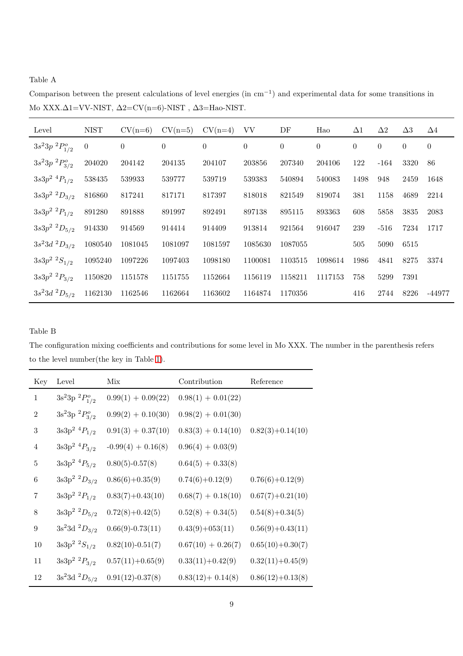Table A

Level NIST CV(n=6) CV(n=5) CV(n=4) VV DF Hao ∆1 ∆2 ∆3 ∆4  $3s^23p\ ^2P^o_{1/2}$  $0 \hspace{1.9cm} 0 \hspace{1.9cm} 0 \hspace{1.9cm} 0 \hspace{1.9cm} 0 \hspace{1.9cm} 0 \hspace{1.9cm} 0 \hspace{1.9cm} 0 \hspace{1.9cm} 0 \hspace{1.9cm} 0$  $3s^2 3p\ ^2P^o_{3/2}$ 204020 204142 204135 204107 203856 207340 204106 122 -164 3320 86  $3s3p^2$   ${}^4P_{1/2}$  $^{2}$   $^{4}P_{1/2}$  538435 539933 539777 539719 539383 540894 540083 1498 948 2459 1648  $3s3p^2$   ${}^2D_{3/2}$  $^{2}$   $^{2}D_{3/2}$  816860 817241 817171 817397 818018 821549 819074 381 1158 4689 2214  $3s3p^2~^2P_{1/2}$  $^{2}$   $^{2}P_{1/2}$  891280 891888 891997 892491 897138 895115 893363 608 5858 3835 2083  $3s3p^2$   ${}^2D_{5/2}$  $^{2}$   $^{2}D_{5/2}$  914330 914569 914414 914409 913814 921564 916047 239 -516 7234 1717  $3s^23d$  ${}^{2}D_{3/2}$  1080540 1081045 1081097 1081597 1085630 1087055 505 505 5090 6515  $3s3p^2~^2S_{1/2}$  $^{2}$   $^{2}S_{1/2}$   $^{1095240}$   $^{1097226}$   $^{1097403}$   $^{1098180}$   $^{1100081}$   $^{1103515}$   $^{1098614}$   $^{1986}$   $^{4841}$   $^{8275}$   $^{3374}$  $3s3p^2~^2P_{3/2}$  $^{2}$   $^{2}P_{3/2}$  1150820 1151578 1151755 1152664 1156119 1158211 1117153 758 5299 7391  $3s^23d$  ${}^{2}D_{5/2}$  1162130 1162546 1162664 1163602 1164874 1170356 416 2744 8226 -44977

Comparison between the present calculations of level energies (in cm−<sup>1</sup> ) and experimental data for some transitions in Mo XXX.∆1=VV-NIST, ∆2=CV(n=6)-NIST , ∆3=Hao-NIST.

Table B

<span id="page-8-0"></span>The configuration mixing coefficients and contributions for some level in Mo XXX. The number in the parenthesis refers to the level number(the key in Table [1\)](#page-10-0).

| Key            | Level                           | Mix                  | Contribution         | Reference            |
|----------------|---------------------------------|----------------------|----------------------|----------------------|
| $\mathbf{1}$   | $3s^23p^2P^o_{1/2}$             | $0.99(1) + 0.09(22)$ | $0.98(1) + 0.01(22)$ |                      |
| $\overline{2}$ | $3s^23p~^2P_{3/2}^o$            | $0.99(2) + 0.10(30)$ | $0.98(2) + 0.01(30)$ |                      |
| 3              | $3s3p^2$ <sup>4</sup> $P_{1/2}$ | $0.91(3) + 0.37(10)$ | $0.83(3) + 0.14(10)$ | $0.82(3)+0.14(10)$   |
| $\overline{4}$ | $3s3p^2~^4P_{3/2}$              | $-0.99(4) + 0.16(8)$ | $0.96(4) + 0.03(9)$  |                      |
| 5              | $3s3p^2~^4P_{5/2}$              | $0.80(5)-0.57(8)$    | $0.64(5) + 0.33(8)$  |                      |
| 6              | $3s3p^2$ $^2D_{3/2}$            | $0.86(6)+0.35(9)$    | $0.74(6)+0.12(9)$    | $0.76(6)+0.12(9)$    |
| 7              | $3s3p^2~^2P_{1/2}$              | $0.83(7)+0.43(10)$   | $0.68(7) + 0.18(10)$ | $0.67(7) + 0.21(10)$ |
| 8              | $3s3p^2$ ${}^2D_{5/2}$          | $0.72(8)+0.42(5)$    | $0.52(8) + 0.34(5)$  | $0.54(8)+0.34(5)$    |
| 9              | $3s^23d^2D_{3/2}$               | $0.66(9)-0.73(11)$   | $0.43(9)+053(11)$    | $0.56(9)+0.43(11)$   |
| 10             | $3s3p^2~^2S_{1/2}$              | $0.82(10)-0.51(7)$   | $0.67(10) + 0.26(7)$ | $0.65(10)+0.30(7)$   |
| 11             | $3s3p^2~^2P_{3/2}$              | $0.57(11) + 0.65(9)$ | $0.33(11)+0.42(9)$   | $0.32(11)+0.45(9)$   |
| 12             | $3s^23d^2D_{5/2}$               | $0.91(12) - 0.37(8)$ | $0.83(12) + 0.14(8)$ | $0.86(12)+0.13(8)$   |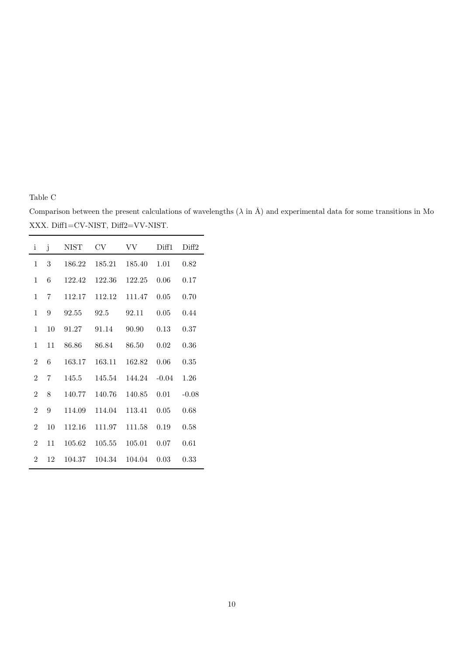Table C

<span id="page-9-0"></span>Comparison between the present calculations of wavelengths ( $\lambda$  in Å) and experimental data for some transitions in Mo XXX. Diff1=CV-NIST, Diff2=VV-NIST.

| i              | j  | NIST   | CV     | VV     | Diff1   | Diff <sub>2</sub> |
|----------------|----|--------|--------|--------|---------|-------------------|
| 1              | 3  | 186.22 | 185.21 | 185.40 | 1.01    | 0.82              |
| 1              | 6  | 122.42 | 122.36 | 122.25 | 0.06    | 0.17              |
| $\mathbf{1}$   | 7  | 112.17 | 112.12 | 111.47 | 0.05    | 0.70              |
| 1              | 9  | 92.55  | 92.5   | 92.11  | 0.05    | 0.44              |
| 1              | 10 | 91.27  | 91.14  | 90.90  | 0.13    | 0.37              |
| $\mathbf{1}$   | 11 | 86.86  | 86.84  | 86.50  | 0.02    | 0.36              |
| $\mathfrak{D}$ | 6  | 163.17 | 163.11 | 162.82 | 0.06    | 0.35              |
| $\mathfrak{D}$ | 7  | 145.5  | 145.54 | 144.24 | $-0.04$ | 1.26              |
| $\overline{2}$ | 8  | 140.77 | 140.76 | 140.85 | 0.01    | $-0.08$           |
| $\overline{2}$ | 9  | 114.09 | 114.04 | 113.41 | 0.05    | 0.68              |
| $\overline{2}$ | 10 | 112.16 | 111.97 | 111.58 | 0.19    | 0.58              |
| $\overline{2}$ | 11 | 105.62 | 105.55 | 105.01 | 0.07    | 0.61              |
| $\overline{2}$ | 12 | 104.37 | 104.34 | 104.04 | 0.03    | 0.33              |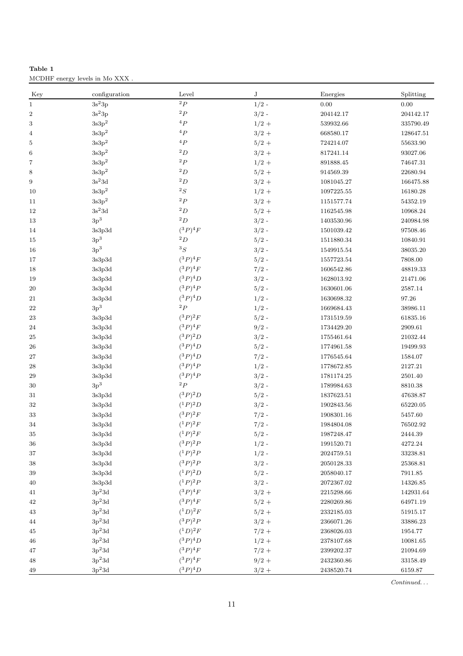<span id="page-10-0"></span>

| Table 1                        |  |  |  |
|--------------------------------|--|--|--|
| MCDHF energy levels in Mo XXX. |  |  |  |

| Key                 | configuration                                 | Level                 | J                  | Energies       | Splitting   |
|---------------------|-----------------------------------------------|-----------------------|--------------------|----------------|-------------|
| $\,1$               | $3s^23p$                                      | $^{2}P$               | $1/2$ -            | 0.00           | $0.00\,$    |
| $\boldsymbol{2}$    | $3s^23p$                                      | ${}^{2}P$             | $3/2$ -            | 204142.17      | 204142.17   |
| 3                   | $\rm 3s3p^2$                                  | ${}^4P$               | $1/2 +$            | 539932.66      | 335790.49   |
| 4                   | $\rm 3s3p^2$                                  | ${}^4P$               | $3/2 +$            | 668580.17      | 128647.51   |
| 5                   | $3s3p^2$                                      | ${}^4P$               | $5/2 +$            | 724214.07      | 55633.90    |
| 6                   | $3s3p^2$                                      | ${}^{2}D$             | $3/2 +$            | 817241.14      | 93027.06    |
| $\scriptstyle{7}$   | $3s3p^2$                                      | ${}^{2}P$             | $1/2 +$            | 891888.45      | 74647.31    |
| $\,8\,$             | $\rm 3s3p^2$                                  | ${}^2D$               | $5/2 +$            | 914569.39      | 22680.94    |
| $\boldsymbol{9}$    | $3\mathrm{s}^23\mathrm{d}$                    | $^2\hspace{0.025cm}D$ | $3/2 +$            | 1081045.27     | 166475.88   |
| 10                  | $\rm 3s3p^2$                                  | ${}^{2}S$             | $1/2 +$            | 1097225.55     | 16180.28    |
| 11                  | $\rm 3s3p^2$                                  | $^{2}P$               | $3/2 +$            | 1151577.74     | 54352.19    |
| 12                  | $\rm 3s^23d$                                  | ${}^2D$               | $5/2 +$            | 1162545.98     | 10968.24    |
| 13                  | $3p^3$                                        | ${}^2D$               | $3/2$ -            | 1403530.96     | 240984.98   |
| 14                  | 3s3p3d                                        | $(^3P)^4F$            | $3/2$ -            | 1501039.42     | 97508.46    |
| 15                  | 3p <sup>3</sup>                               | ${}^{2}D$             | $5/2$ -            | 1511880.34     | 10840.91    |
| 16                  | 3p <sup>3</sup>                               | ${}^3S$               | $3/2$ -            | 1549915.54     | 38035.20    |
| 17                  | $3\mathrm{s}3\mathrm{p}3\mathrm{d}$           | $(^3P)^4F$            | $5/2$ -            | 1557723.54     | 7808.00     |
| 18                  | 3s3p3d                                        | $(^3P)^4F$            | $7/2$ -            | $1606542.86\,$ | 48819.33    |
| 19                  | 3s3p3d                                        | $(^3P)^4D$            | $3/2$ -            | 1628013.92     | 21471.06    |
| $20\,$              | $3\mathrm{s}3\mathrm{p}3\mathrm{d}$           | $(^3P)^4P$            | $5/2$ -            | 1630601.06     | 2587.14     |
| 21                  | 3s3p3d                                        | $(^3P)^4D$            | $1/2$ -            | 1630698.32     | 97.26       |
| 22                  | $\rm 3p^3$                                    | ${}^{2}P$             | $1/2$ -            | 1669684.43     | 38986.11    |
| 23                  | 3s3p3d                                        | $(^3P)^2F$            | $5/2$ -            | 1731519.59     | 61835.16    |
| 24                  | 3s3p3d                                        | $(^3P)^4F$            | $9/2$ -            | 1734429.20     | 2909.61     |
|                     |                                               | $({}^3P)^2D$          | $3/2$ -            |                |             |
| 25                  | 3s3p3d                                        | $(^3P)^4D$            |                    | 1755461.64     | 21032.44    |
| <b>26</b><br>$27\,$ | 3s3p3d<br>$3\mathrm{s}3\mathrm{p}3\mathrm{d}$ | $(^3P)^4D$            | $5/2$ -<br>$7/2$ - | 1774961.58     | 19499.93    |
|                     |                                               | $(^3P)^4P$            | $1/2$ -            | 1776545.64     | 1584.07     |
| ${\bf 28}$          | 3s3p3d                                        | $(^3P)^4P$            |                    | 1778672.85     | 2127.21     |
| 29                  | 3s3p3d<br>3p <sup>3</sup>                     | $^{2}P$               | $3/2$ -            | 1781174.25     | 2501.40     |
| $30\,$              |                                               | $(^3P)^2D$            | $3/2$ -            | 1789984.63     | 8810.38     |
| 31                  | 3s3p3d                                        | $(^1P)^2D$            | $5/2$ -            | 1837623.51     | 47638.87    |
| 32                  | 3s3p3d                                        | $(^3P)^2F$            | $3/2$ -            | 1902843.56     | 65220.05    |
| 33                  | $3\mathrm{s}3\mathrm{p}3\mathrm{d}$           |                       | $7/2$ -            | 1908301.16     | 5457.60     |
| 34                  | 3s3p3d                                        | $(^1P)^2F$            | $7/2$ -            | 1984804.08     | 76502.92    |
| $35\,$              | 3s3p3d                                        | $(^1P)^2F$            | $5/2$ -            | 1987248.47     | $2444.39\,$ |
| 36                  | 3s3p3d                                        | $({}^3P)^2P$          | $1/2$ -            | 1991520.71     | 4272.24     |
| 37                  | 3s3p3d                                        | $(^1P)^2P$            | $1/2$ -            | 2024759.51     | 33238.81    |
| 38                  | 3s3p3d                                        | $({}^3P)^2P$          | $3/2$ -            | $2050128.33\,$ | 25368.81    |
| 39                  | 3s3p3d                                        | $(^1P)^2D$            | $5/2$ -            | 2058040.17     | 7911.85     |
| 40                  | 3s3p3d                                        | $(^1P)^2P$            | $3/2$ -            | 2072367.02     | 14326.85    |
| 41                  | $3p^23d$                                      | $(^3P)^4F$            | $3/2 +$            | 2215298.66     | 142931.64   |
| 42                  | $3p^23d$                                      | $(^3P)^4F$            | $5/2 +$            | 2280269.86     | 64971.19    |
| 43                  | $3p^23d$                                      | $(^1D)^2F$            | $5/2 +$            | 2332185.03     | 51915.17    |
| 44                  | $\rm 3p^23d$                                  | $({}^3P)^2P$          | $3/2 +$            | 2366071.26     | 33886.23    |
| 45                  | $3p^23d$                                      | $(^1D)^2F$            | $7/2 +$            | 2368026.03     | 1954.77     |
| 46                  | $\rm 3p^23d$                                  | $(^3P)^4D$            | $1/2 +$            | 2378107.68     | 10081.65    |
| 47                  | $\rm 3p^23d$                                  | $({}^3P)^4F$          | $7/2 +$            | 2399202.37     | 21094.69    |
| 48                  | $3p^23d$                                      | $({}^3P)^4F$          | $9/2 +$            | 2432360.86     | 33158.49    |
| 49                  | $3p^23d$                                      | $({}^3P)^4D$          | $3/2 +$            | 2438520.74     | 6159.87     |

*Continued. . .*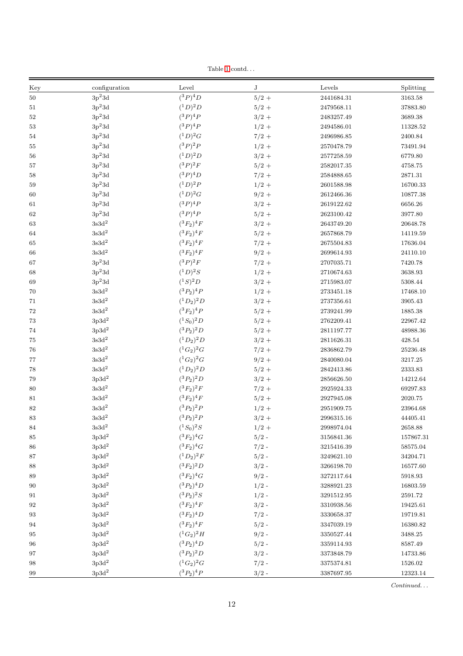Table [1](#page-10-0)  $\mathrm{contd.}$  . .

| Key      | configuration              | Level            | J       | Levels         | Splitting   |
|----------|----------------------------|------------------|---------|----------------|-------------|
| $50\,$   | $3p^23d$                   | $(^3P)^4D$       | $5/2 +$ | 2441684.31     | 3163.58     |
| 51       | $3p^23d$                   | $(^1D)^2D$       | $5/2 +$ | 2479568.11     | 37883.80    |
| $52\,$   | $3p^23d$                   | $(^3P)^4P$       | $3/2 +$ | 2483257.49     | 3689.38     |
| $53\,$   | $3p^23d$                   | $(^3P)^4P$       | $1/2 +$ | 2494586.01     | 11328.52    |
| 54       | $3p^23d$                   | $(^1D)^2G$       | $7/2 +$ | 2496986.85     | 2400.84     |
| 55       | $3p^23d$                   | $(^3P)^2P$       | $1/2 +$ | 2570478.79     | 73491.94    |
| 56       | $3p^23d$                   | $(^1D)^2D$       | $3/2 +$ | $2577258.59\,$ | 6779.80     |
| 57       | $3p^23d$                   | $(^3P)^2F$       | $5/2 +$ | 2582017.35     | 4758.75     |
| 58       | $3p^23d$                   | $({}^3P)^4D$     | $7/2 +$ | 2584888.65     | 2871.31     |
| 59       | $3p^23d$                   | $(^{1}D)^{2}P$   | $1/2 +$ | 2601588.98     | 16700.33    |
| 60       | $\rm 3p^23d$               | $(^1D)^2G$       | $9/2 +$ | 2612466.36     | 10877.38    |
| 61       | $3p^23d$                   | $(^3P)^4P$       | $3/2 +$ | 2619122.62     | 6656.26     |
| $62\,$   | $\rm 3p^23d$               | $(^3P)^4P$       | $5/2 +$ | 2623100.42     | 3977.80     |
| 63       | $3\mathrm{s}3\mathrm{d}^2$ | $(^3F_2)^4F$     | $3/2 +$ | 2643749.20     | 20648.78    |
| 64       | $\rm 3s3d^2$               | $({}^3F_2)^4F$   | $5/2 +$ | 2657868.79     | 14119.59    |
| 65       | $\rm 3s3d^2$               | $({}^3F_2)^4F$   | $7/2 +$ | 2675504.83     | 17636.04    |
| 66       | $\rm 3s3d^2$               | $({}^3F_2)^4F$   | $9/2 +$ | 2699614.93     | 24110.10    |
| 67       | $3p^23d$                   | $(^3P)^2F$       | $7/2 +$ | 2707035.71     | 7420.78     |
| 68       | $3p^23d$                   | $({}^{1}D)^{2}S$ | $1/2 +$ | 2710674.63     | 3638.93     |
| 69       | $3p^23d$                   | $(^{1}S)^{2}D$   | $3/2 +$ | 2715983.07     | 5308.44     |
| 70       | $\rm 3s3d^2$               | $(^3P_2)^4P$     | $1/2 +$ | 2733451.18     | 17468.10    |
| 71       | $3\mathrm{s}3\mathrm{d}^2$ | $(^1D_2)^2D$     | $3/2 +$ | 2737356.61     | $3905.43\,$ |
| $\bf 72$ | $3\mathrm{s}3\mathrm{d}^2$ | $(^3F_2)^4P$     | $5/2 +$ | 2739241.99     | 1885.38     |
| 73       | $3p3d^2$                   | $(^1S_0)^2D$     | $5/2 +$ | 2762209.41     | 22967.42    |
| $74\,$   | $\rm 3p3d^2$               | $(^3P_2)^2D$     | $5/2 +$ | 2811197.77     | 48988.36    |
| 75       | $\rm 3s3d^2$               | $(^1D_2)^2D$     | $3/2 +$ | 2811626.31     | 428.54      |
| 76       | $3\mathrm{s}3\mathrm{d}^2$ | $(^1G_2)^2G$     | $7/2 +$ | 2836862.79     | 25236.48    |
| 77       | $3\mathrm{s}3\mathrm{d}^2$ | $(^1G_2)^2G$     | $9/2 +$ | 2840080.04     | 3217.25     |
| 78       | $\rm 3s3d^2$               | $(^1D_2)^2D$     | $5/2 +$ | 2842413.86     | 2333.83     |
| 79       | $3\mathrm{p}3\mathrm{d}^2$ | $({}^3P_2)^2D$   | $3/2 +$ | 2856626.50     | 14212.64    |
| 80       | $3\mathrm{s}3\mathrm{d}^2$ | $({}^3F_2)^2F$   | $7/2 +$ | 2925924.33     | 69297.83    |
| 81       | $3\mathrm{s}3\mathrm{d}^2$ | $({}^3F_2)^4F$   | $5/2 +$ | 2927945.08     | 2020.75     |
| $82\,$   | $\rm 3s3d^2$               | $(^3P_2)^2P$     | $1/2 +$ | 2951909.75     | 23964.68    |
| 83       | $3\mathrm{s}3\mathrm{d}^2$ | $({}^3P_2)^2P$   | $3/2 +$ | 2996315.16     | 44405.41    |
| 84       | $3\mathrm{s}3\mathrm{d}^2$ | $(^1S_0)^2S$     | $1/2 +$ | 2998974.04     | 2658.88     |
| 85       | $3p3d^2$                   | $({}^3F_2)^4G$   | $5/2$ - | 3156841.36     | 157867.31   |
| 86       | $3p3d^2$                   | $({}^3F_2)^4G$   | $7/2$ - | 3215416.39     | 58575.04    |
| 87       | $3p3d^2$                   | $(^1D_2)^2F$     | $5/2$ - | 3249621.10     | 34204.71    |
| 88       | $3p3d^2$                   | $({}^3F_2)^2D$   | $3/2$ - | 3266198.70     | 16577.60    |
| 89       | $3p3d^2$                   | $({}^3F_2)^4G$   | $9/2$ - | 3272117.64     | 5918.93     |
| 90       | $3p3d^2$                   | $({}^3P_2)^4D$   | $1/2$ - | 3288921.23     | 16803.59    |
| 91       | $3p3d^2$                   | $({}^3P_2)^2S$   | $1/2$ - | 3291512.95     | $2591.72\,$ |
| 92       | $3p3d^2$                   | $({}^3F_2)^4F$   | $3/2$ - | 3310938.56     | 19425.61    |
| 93       | $3p3d^2$                   | $({}^3F_2)^4D$   | $7/2$ - | 3330658.37     | 19719.81    |
| 94       | $3p3d^2$                   | $(^3F_2)^4F$     | $5/2$ - | 3347039.19     | 16380.82    |
| 95       | $3p3d^2$                   | $(^1G_2)^2H$     | $9/2$ - | 3350527.44     | 3488.25     |
| 96       | $3p3d^2$                   | $({}^3P_2)^4D$   | $5/2$ - | 3359114.93     | 8587.49     |
| 97       | $3p3d^2$                   | $({}^3P_2)^2D$   | $3/2$ - | 3373848.79     | 14733.86    |
| 98       | $3p3d^2$                   | $(^1G_2)^2G$     | $7/2$ - | 3375374.81     | 1526.02     |
| 99       | $3p3d^2$                   | $({}^3P_2)^4P$   | $3/2$ - | 3387697.95     | 12323.14    |

*Continued. . .*